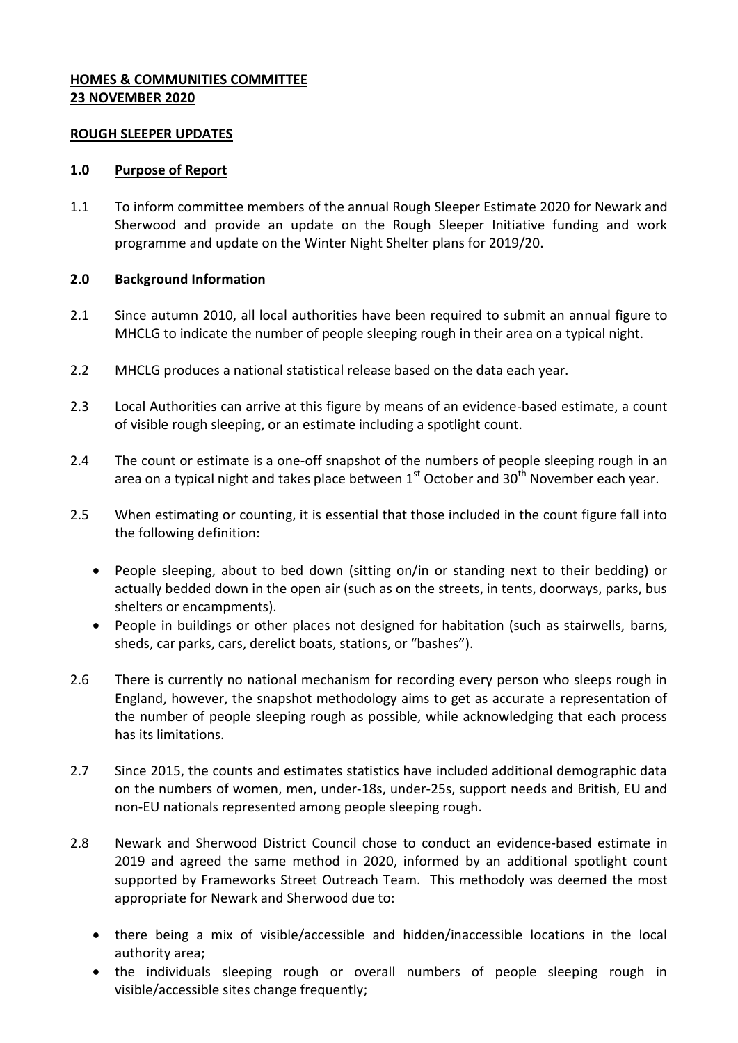## **HOMES & COMMUNITIES COMMITTEE 23 NOVEMBER 2020**

#### **ROUGH SLEEPER UPDATES**

#### **1.0 Purpose of Report**

1.1 To inform committee members of the annual Rough Sleeper Estimate 2020 for Newark and Sherwood and provide an update on the Rough Sleeper Initiative funding and work programme and update on the Winter Night Shelter plans for 2019/20.

### **2.0 Background Information**

- 2.1 Since autumn 2010, all local authorities have been required to submit an annual figure to MHCLG to indicate the number of people sleeping rough in their area on a typical night.
- 2.2 MHCLG produces a national statistical release based on the data each year.
- 2.3 Local Authorities can arrive at this figure by means of an evidence-based estimate, a count of visible rough sleeping, or an estimate including a spotlight count.
- 2.4 The count or estimate is a one-off snapshot of the numbers of people sleeping rough in an area on a typical night and takes place between  $1^{st}$  October and  $30^{th}$  November each year.
- 2.5 When estimating or counting, it is essential that those included in the count figure fall into the following definition:
	- People sleeping, about to bed down (sitting on/in or standing next to their bedding) or actually bedded down in the open air (such as on the streets, in tents, doorways, parks, bus shelters or encampments).
	- People in buildings or other places not designed for habitation (such as stairwells, barns, sheds, car parks, cars, derelict boats, stations, or "bashes").
- 2.6 There is currently no national mechanism for recording every person who sleeps rough in England, however, the snapshot methodology aims to get as accurate a representation of the number of people sleeping rough as possible, while acknowledging that each process has its limitations.
- 2.7 Since 2015, the counts and estimates statistics have included additional demographic data on the numbers of women, men, under-18s, under-25s, support needs and British, EU and non-EU nationals represented among people sleeping rough.
- 2.8 Newark and Sherwood District Council chose to conduct an evidence-based estimate in 2019 and agreed the same method in 2020, informed by an additional spotlight count supported by Frameworks Street Outreach Team. This methodoly was deemed the most appropriate for Newark and Sherwood due to:
	- there being a mix of visible/accessible and hidden/inaccessible locations in the local authority area;
	- the individuals sleeping rough or overall numbers of people sleeping rough in visible/accessible sites change frequently;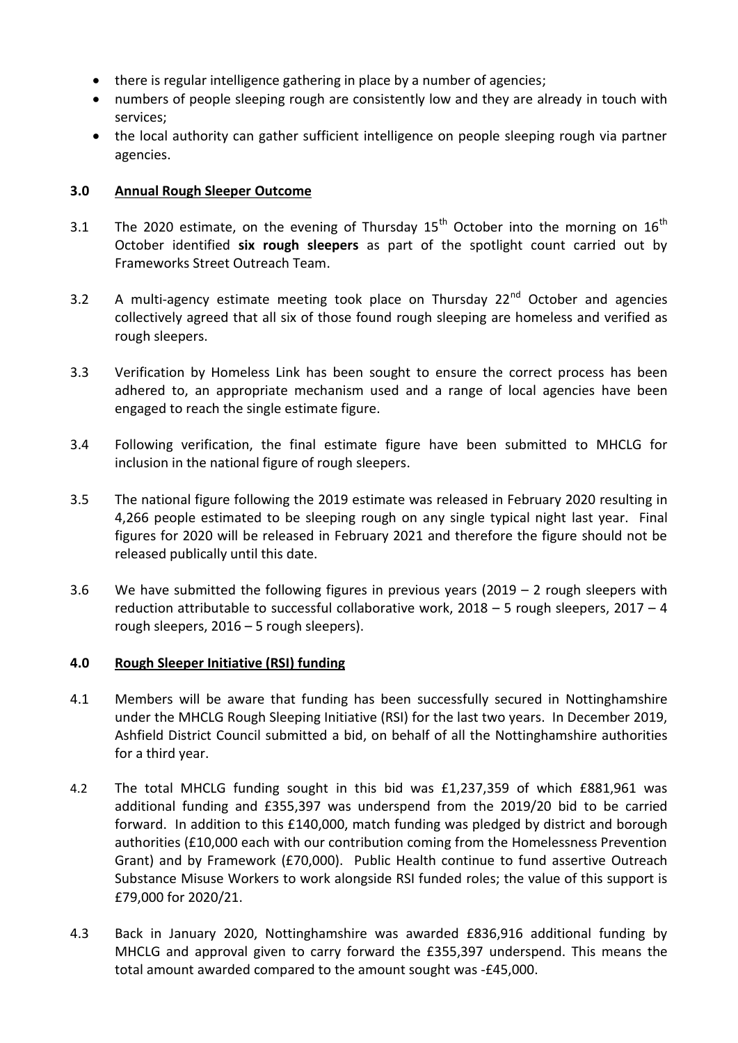- there is regular intelligence gathering in place by a number of agencies;
- numbers of people sleeping rough are consistently low and they are already in touch with services;
- the local authority can gather sufficient intelligence on people sleeping rough via partner agencies.

## **3.0 Annual Rough Sleeper Outcome**

- 3.1 The 2020 estimate, on the evening of Thursday  $15<sup>th</sup>$  October into the morning on  $16<sup>th</sup>$ October identified **six rough sleepers** as part of the spotlight count carried out by Frameworks Street Outreach Team.
- 3.2 A multi-agency estimate meeting took place on Thursday  $22^{nd}$  October and agencies collectively agreed that all six of those found rough sleeping are homeless and verified as rough sleepers.
- 3.3 Verification by Homeless Link has been sought to ensure the correct process has been adhered to, an appropriate mechanism used and a range of local agencies have been engaged to reach the single estimate figure.
- 3.4 Following verification, the final estimate figure have been submitted to MHCLG for inclusion in the national figure of rough sleepers.
- 3.5 The national figure following the 2019 estimate was released in February 2020 resulting in 4,266 people estimated to be sleeping rough on any single typical night last year. Final figures for 2020 will be released in February 2021 and therefore the figure should not be released publically until this date.
- 3.6 We have submitted the following figures in previous years (2019 2 rough sleepers with reduction attributable to successful collaborative work, 2018 – 5 rough sleepers, 2017 – 4 rough sleepers, 2016 – 5 rough sleepers).

### **4.0 Rough Sleeper Initiative (RSI) funding**

- 4.1 Members will be aware that funding has been successfully secured in Nottinghamshire under the MHCLG Rough Sleeping Initiative (RSI) for the last two years. In December 2019, Ashfield District Council submitted a bid, on behalf of all the Nottinghamshire authorities for a third year.
- 4.2 The total MHCLG funding sought in this bid was £1,237,359 of which £881,961 was additional funding and £355,397 was underspend from the 2019/20 bid to be carried forward. In addition to this £140,000, match funding was pledged by district and borough authorities (£10,000 each with our contribution coming from the Homelessness Prevention Grant) and by Framework (£70,000). Public Health continue to fund assertive Outreach Substance Misuse Workers to work alongside RSI funded roles; the value of this support is £79,000 for 2020/21.
- 4.3 Back in January 2020, Nottinghamshire was awarded £836,916 additional funding by MHCLG and approval given to carry forward the £355,397 underspend. This means the total amount awarded compared to the amount sought was -£45,000.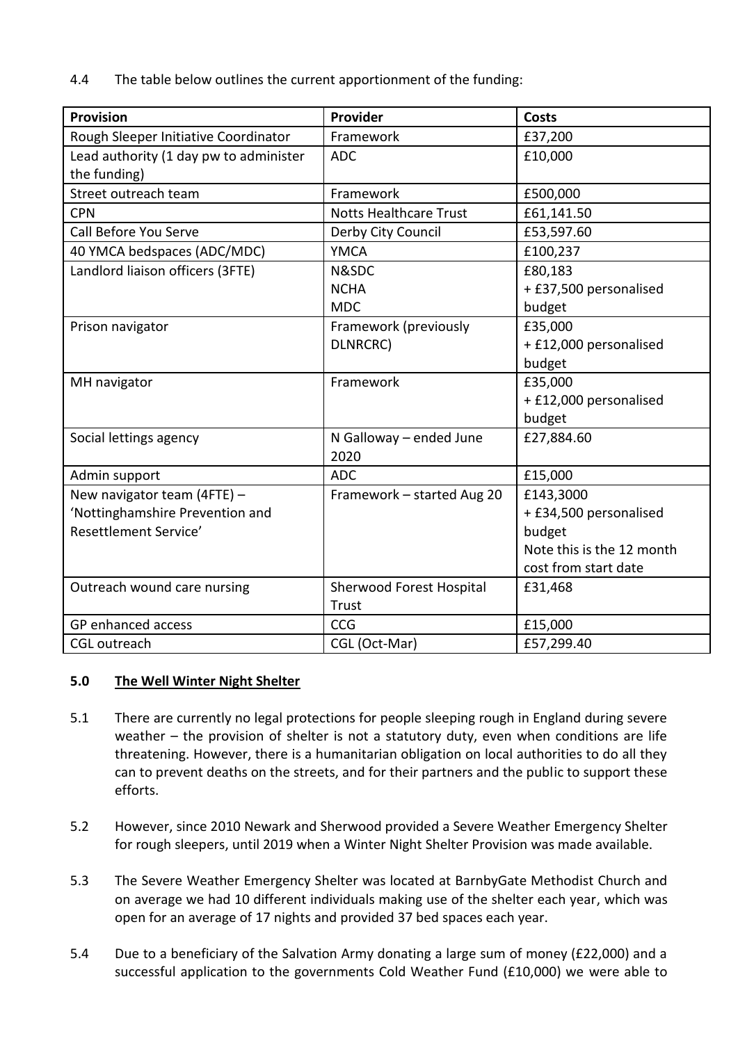4.4 The table below outlines the current apportionment of the funding:

| <b>Provision</b>                       | Provider                      | <b>Costs</b>              |
|----------------------------------------|-------------------------------|---------------------------|
| Rough Sleeper Initiative Coordinator   | Framework                     | £37,200                   |
| Lead authority (1 day pw to administer | <b>ADC</b>                    | £10,000                   |
| the funding)                           |                               |                           |
| Street outreach team                   | Framework                     | £500,000                  |
| <b>CPN</b>                             | <b>Notts Healthcare Trust</b> | £61,141.50                |
| Call Before You Serve                  | Derby City Council            | £53,597.60                |
| 40 YMCA bedspaces (ADC/MDC)            | <b>YMCA</b>                   | £100,237                  |
| Landlord liaison officers (3FTE)       | N&SDC                         | £80,183                   |
|                                        | <b>NCHA</b>                   | + £37,500 personalised    |
|                                        | <b>MDC</b>                    | budget                    |
| Prison navigator                       | Framework (previously         | £35,000                   |
|                                        | DLNRCRC)                      | + £12,000 personalised    |
|                                        |                               | budget                    |
| MH navigator                           | Framework                     | £35,000                   |
|                                        |                               | + £12,000 personalised    |
|                                        |                               | budget                    |
| Social lettings agency                 | N Galloway - ended June       | £27,884.60                |
|                                        | 2020                          |                           |
| Admin support                          | <b>ADC</b>                    | £15,000                   |
| New navigator team (4FTE) -            | Framework - started Aug 20    | £143,3000                 |
| 'Nottinghamshire Prevention and        |                               | + £34,500 personalised    |
| Resettlement Service'                  |                               | budget                    |
|                                        |                               | Note this is the 12 month |
|                                        |                               | cost from start date      |
| Outreach wound care nursing            | Sherwood Forest Hospital      | £31,468                   |
|                                        | <b>Trust</b>                  |                           |
| GP enhanced access                     | CCG                           | £15,000                   |
| <b>CGL</b> outreach                    | CGL (Oct-Mar)                 | £57,299.40                |

# **5.0 The Well Winter Night Shelter**

- 5.1 There are currently no legal protections for people sleeping rough in England during severe weather – the provision of shelter is not a statutory duty, even when conditions are life threatening. However, there is a humanitarian obligation on local authorities to do all they can to prevent deaths on the streets, and for their partners and the public to support these efforts.
- 5.2 However, since 2010 Newark and Sherwood provided a Severe Weather Emergency Shelter for rough sleepers, until 2019 when a Winter Night Shelter Provision was made available.
- 5.3 The Severe Weather Emergency Shelter was located at BarnbyGate Methodist Church and on average we had 10 different individuals making use of the shelter each year, which was open for an average of 17 nights and provided 37 bed spaces each year.
- 5.4 Due to a beneficiary of the Salvation Army donating a large sum of money (£22,000) and a successful application to the governments Cold Weather Fund (£10,000) we were able to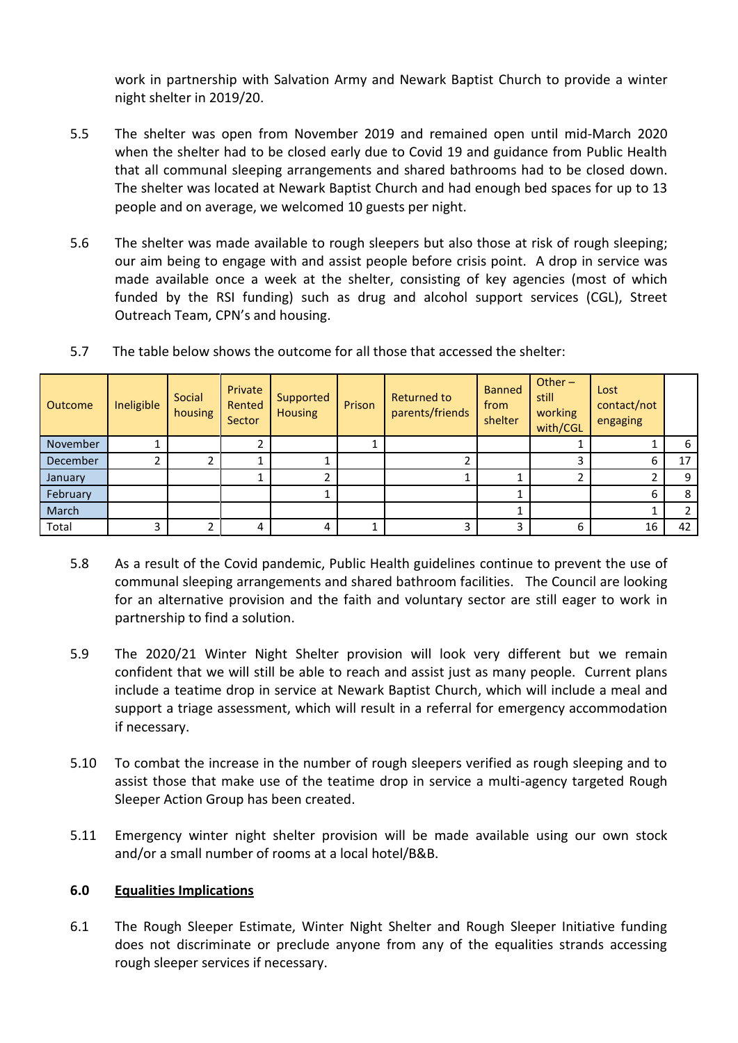work in partnership with Salvation Army and Newark Baptist Church to provide a winter night shelter in 2019/20.

- 5.5 The shelter was open from November 2019 and remained open until mid-March 2020 when the shelter had to be closed early due to Covid 19 and guidance from Public Health that all communal sleeping arrangements and shared bathrooms had to be closed down. The shelter was located at Newark Baptist Church and had enough bed spaces for up to 13 people and on average, we welcomed 10 guests per night.
- 5.6 The shelter was made available to rough sleepers but also those at risk of rough sleeping; our aim being to engage with and assist people before crisis point. A drop in service was made available once a week at the shelter, consisting of key agencies (most of which funded by the RSI funding) such as drug and alcohol support services (CGL), Street Outreach Team, CPN's and housing.

| Outcome         | Ineligible | Social<br>housing | Private<br>Rented<br>Sector | Supported<br><b>Housing</b> | Prison | Returned to<br>parents/friends | <b>Banned</b><br>from<br>shelter | Other $-$<br>still<br>working<br>with/CGL | Lost<br>contact/not<br>engaging |    |
|-----------------|------------|-------------------|-----------------------------|-----------------------------|--------|--------------------------------|----------------------------------|-------------------------------------------|---------------------------------|----|
| November        |            |                   |                             |                             |        |                                |                                  |                                           |                                 | 6  |
| <b>December</b> |            |                   |                             |                             |        |                                |                                  |                                           | 6.                              | 17 |
| January         |            |                   |                             |                             |        |                                |                                  |                                           |                                 | 9  |
| February        |            |                   |                             |                             |        |                                |                                  |                                           | 6                               | 8  |
| March           |            |                   |                             |                             |        |                                |                                  |                                           |                                 | C. |
| Total           | 3          |                   |                             | 4                           |        | 3                              | 3                                | 6                                         | 16                              | 42 |

5.7 The table below shows the outcome for all those that accessed the shelter:

- 5.8 As a result of the Covid pandemic, Public Health guidelines continue to prevent the use of communal sleeping arrangements and shared bathroom facilities. The Council are looking for an alternative provision and the faith and voluntary sector are still eager to work in partnership to find a solution.
- 5.9 The 2020/21 Winter Night Shelter provision will look very different but we remain confident that we will still be able to reach and assist just as many people. Current plans include a teatime drop in service at Newark Baptist Church, which will include a meal and support a triage assessment, which will result in a referral for emergency accommodation if necessary.
- 5.10 To combat the increase in the number of rough sleepers verified as rough sleeping and to assist those that make use of the teatime drop in service a multi-agency targeted Rough Sleeper Action Group has been created.
- 5.11 Emergency winter night shelter provision will be made available using our own stock and/or a small number of rooms at a local hotel/B&B.

# **6.0 Equalities Implications**

6.1 The Rough Sleeper Estimate, Winter Night Shelter and Rough Sleeper Initiative funding does not discriminate or preclude anyone from any of the equalities strands accessing rough sleeper services if necessary.